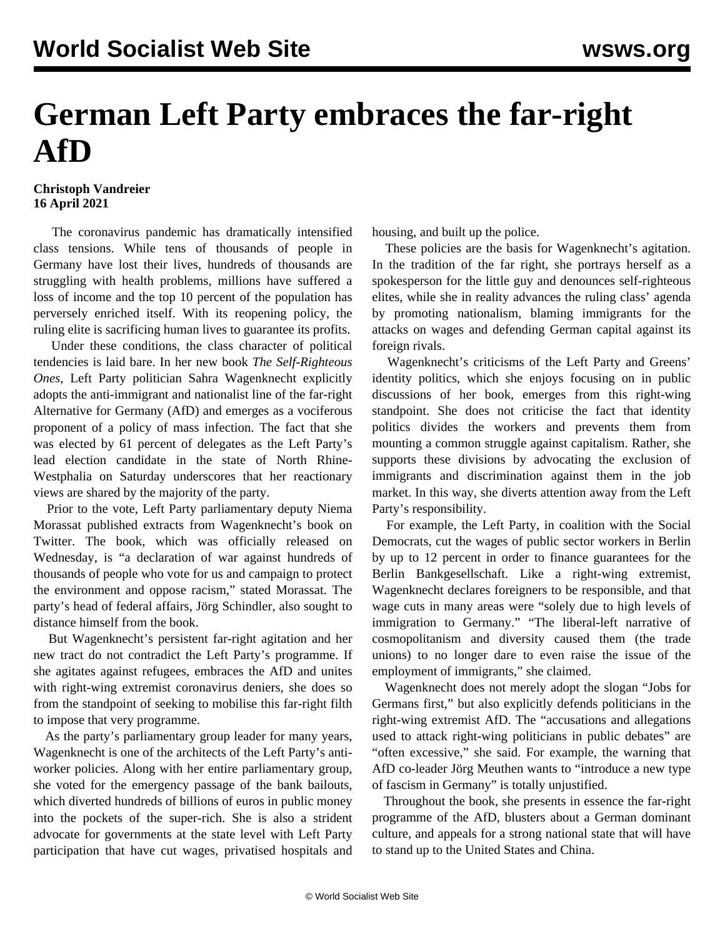## **German Left Party embraces the far-right AfD**

## **Christoph Vandreier 16 April 2021**

 The coronavirus pandemic has dramatically intensified class tensions. While tens of thousands of people in Germany have lost their lives, hundreds of thousands are struggling with health problems, millions have suffered a loss of income and the top 10 percent of the population has perversely enriched itself. With its reopening policy, the ruling elite is sacrificing human lives to guarantee its profits.

 Under these conditions, the class character of political tendencies is laid bare. In her new book *The Self-Righteous Ones*, Left Party politician Sahra Wagenknecht explicitly adopts the anti-immigrant and nationalist line of the far-right Alternative for Germany (AfD) and emerges as a vociferous proponent of a policy of mass infection. The fact that she was elected by 61 percent of delegates as the Left Party's lead election candidate in the state of North Rhine-Westphalia on Saturday underscores that her reactionary views are shared by the majority of the party.

 Prior to the vote, Left Party parliamentary deputy Niema Morassat published extracts from Wagenknecht's book on Twitter. The book, which was officially released on Wednesday, is "a declaration of war against hundreds of thousands of people who vote for us and campaign to protect the environment and oppose racism," stated Morassat. The party's head of federal affairs, Jörg Schindler, also sought to distance himself from the book.

 But Wagenknecht's persistent far-right agitation and her new tract do not contradict the Left Party's programme. If she agitates against refugees, embraces the AfD and unites with right-wing extremist coronavirus deniers, she does so from the standpoint of seeking to mobilise this far-right filth to impose that very programme.

 As the party's parliamentary group leader for many years, Wagenknecht is one of the architects of the Left Party's antiworker policies. Along with her entire parliamentary group, she voted for the emergency passage of the bank bailouts, which diverted hundreds of billions of euros in public money into the pockets of the super-rich. She is also a strident advocate for governments at the state level with Left Party participation that have cut wages, privatised hospitals and housing, and built up the police.

 These policies are the basis for Wagenknecht's agitation. In the tradition of the far right, she portrays herself as a spokesperson for the little guy and denounces self-righteous elites, while she in reality advances the ruling class' agenda by promoting nationalism, blaming immigrants for the attacks on wages and defending German capital against its foreign rivals.

 Wagenknecht's criticisms of the Left Party and Greens' identity politics, which she enjoys focusing on in public discussions of her book, emerges from this right-wing standpoint. She does not criticise the fact that identity politics divides the workers and prevents them from mounting a common struggle against capitalism. Rather, she supports these divisions by advocating the exclusion of immigrants and discrimination against them in the job market. In this way, she diverts attention away from the Left Party's responsibility.

 For example, the Left Party, in coalition with the Social Democrats, cut the wages of public sector workers in Berlin by up to 12 percent in order to finance guarantees for the Berlin Bankgesellschaft. Like a right-wing extremist, Wagenknecht declares foreigners to be responsible, and that wage cuts in many areas were "solely due to high levels of immigration to Germany." "The liberal-left narrative of cosmopolitanism and diversity caused them (the trade unions) to no longer dare to even raise the issue of the employment of immigrants," she claimed.

 Wagenknecht does not merely adopt the slogan "Jobs for Germans first," but also explicitly defends politicians in the right-wing extremist AfD. The "accusations and allegations used to attack right-wing politicians in public debates" are "often excessive," she said. For example, the warning that AfD co-leader Jörg Meuthen wants to "introduce a new type of fascism in Germany" is totally unjustified.

 Throughout the book, she presents in essence the far-right programme of the AfD, blusters about a German dominant culture, and appeals for a strong national state that will have to stand up to the United States and China.